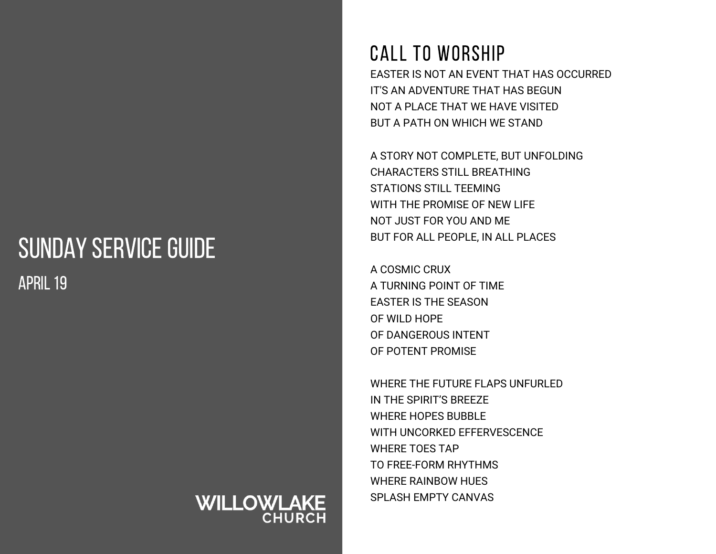# SUNDAY SERVICE GUIDE

**APRIL19** 

## CALL TO WORSHIP

EASTER IS NOT AN EVENT THAT HAS OCCURRED IT'S AN ADVENTURE THAT HAS BEGUN NOT A PLACE THAT WE HAVE VISITED BUT A PATH ON WHICH WE STAND

A STORY NOT COMPLETE, BUT UNFOLDING CHARACTERS STILL BREATHING STATIONS STILL TEEMING WITH THE PROMISE OF NEW LIFE NOT JUST FOR YOU AND ME BUT FOR ALL PEOPLE, IN ALL PLACES

A COSMIC CRUX A TURNING POINT OF TIME EASTER IS THE SEASON OF WILD HOPE OF DANGEROUS INTENT OF POTENT PROMISE

WHERE THE FUTURE FLAPS UNFURLED IN THE SPIRIT'S BREEZE WHERE HOPES BUBBLE WITH UNCORKED EFFERVESCENCE WHERE TOES TAP TO FREE-FORM RHYTHMS WHERE RAINBOW HUES SPLASH EMPTY CANVAS

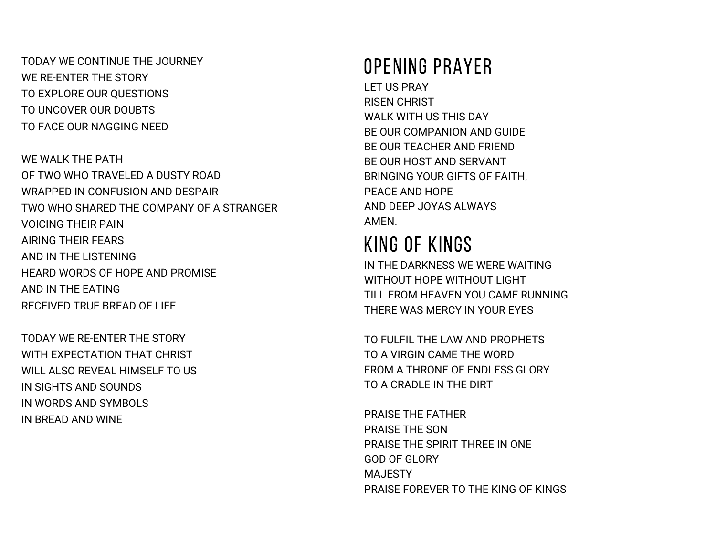TODAY WE CONTINUE THE JOURNEY WE RE-ENTER THE STORY TO EXPLORE OUR QUESTIONS TO UNCOVER OUR DOUBTS TO FACE OUR NAGGING NEED

WE WALK THE PATH OF TWO WHO TRAVELED A DUSTY ROAD WRAPPED IN CONFUSION AND DESPAIR TWO WHO SHARED THE COMPANY OF A STRANGER VOICING THEIR PAIN AIRING THEIR FEARS AND IN THE LISTENING HEARD WORDS OF HOPE AND PROMISE AND IN THE EATING RECEIVED TRUE BREAD OF LIFE

TODAY WE RE-ENTER THE STORY WITH EXPECTATION THAT CHRIST WILL ALSO REVEAL HIMSELF TO US IN SIGHTS AND SOUNDS IN WORDS AND SYMBOLS IN BREAD AND WINE

#### OPENING PRAYER

LET US PRAY RISEN CHRIST WALK WITH US THIS DAY BE OUR COMPANION AND GUIDE BE OUR TEACHER AND FRIEND BE OUR HOST AND SERVANT BRINGING YOUR GIFTS OF FAITH, PEACE AND HOPE AND DEEP JOYAS ALWAYS AMEN.

#### KING OF KINGS

IN THE DARKNESS WE WERE WAITING WITHOUT HOPE WITHOUT LIGHT TILL FROM HEAVEN YOU CAME RUNNING THERE WAS MERCY IN YOUR EYES

TO FULFIL THE LAW AND PROPHETS TO A VIRGIN CAME THE WORD FROM A THRONE OF FNDLESS GLORY TO A CRADLE IN THE DIRT

PRAISE THE FATHER PRAISE THE SON PRAISE THE SPIRIT THREE IN ONE GOD OF GLORY MAJESTY PRAISE FOREVER TO THE KING OF KINGS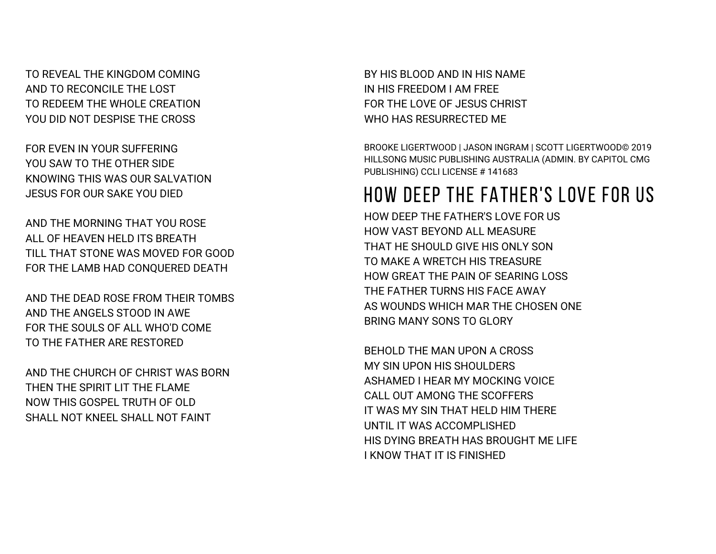TO REVEAL THE KINGDOM COMING AND TO RECONCILE THE LOST TO REDEEM THE WHOLE CREATION YOU DID NOT DESPISE THE CROSS

FOR EVEN IN YOUR SUFFERING YOU SAW TO THE OTHER SIDE KNOWING THIS WAS OUR SALVATION JESUS FOR OUR SAKE YOU DIED

AND THE MORNING THAT YOU ROSE ALL OF HEAVEN HELD ITS BREATH TILL THAT STONE WAS MOVED FOR GOOD FOR THE LAMB HAD CONQUERED DEATH

AND THE DEAD ROSE FROM THEIR TOMBS AND THE ANGELS STOOD IN AWE FOR THE SOULS OF ALL WHO'D COME TO THE FATHER ARE RESTORED

AND THE CHURCH OF CHRIST WAS BORN THEN THE SPIRIT LIT THE FLAME NOW THIS GOSPEL TRUTH OF OLD SHALL NOT KNEEL SHALL NOT FAINT

BY HIS BLOOD AND IN HIS NAME IN HIS FREEDOM I AM FREE FOR THE LOVE OF JESUS CHRIST WHO HAS RESURRECTED ME

BROOKE LIGERTWOOD | JASON INGRAM | SCOTT LIGERTWOOD© 2019 HILLSONG MUSIC PUBLISHING AUSTRALIA (ADMIN. BY CAPITOL CMG PUBLISHING) CCLI LICENSE # 141683

### HOW DEEP THE FATHER'S LOVE FOR US

HOW DEEP THE FATHER'S LOVE FOR US HOW VAST BEYOND ALL MEASURE THAT HE SHOULD GIVE HIS ONLY SON TO MAKE A WRETCH HIS TREASURE HOW GREAT THE PAIN OF SEARING LOSS THE FATHER TURNS HIS FACE AWAY AS WOUNDS WHICH MAR THE CHOSEN ONE BRING MANY SONS TO GLORY

BEHOLD THE MAN UPON A CROSS MY SIN UPON HIS SHOULDERS ASHAMED I HEAR MY MOCKING VOICE CALL OUT AMONG THE SCOFFERS IT WAS MY SIN THAT HELD HIM THERE UNTIL IT WAS ACCOMPLISHED HIS DYING BREATH HAS BROUGHT ME LIFE I KNOW THAT IT IS FINISHED